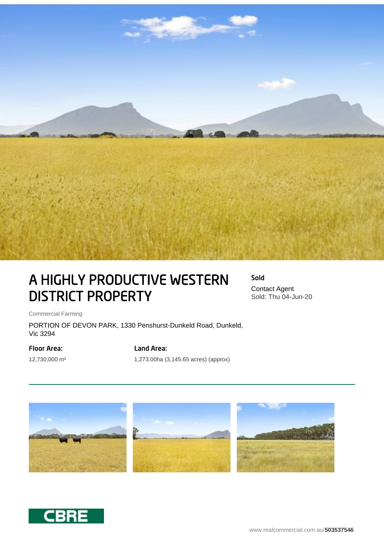

# A HIGHLY PRODUCTIVE WESTERN DISTRICT PROPERTY

Sold Contact Agent Sold: Thu 04-Jun-20

Commercial Farming

PORTION OF DEVON PARK, 1330 Penshurst-Dunkeld Road, Dunkeld, Vic 3294

### Floor Area:

## Land Area:

12,730,000 m²

1,273.00ha (3,145.65 acres) (approx)